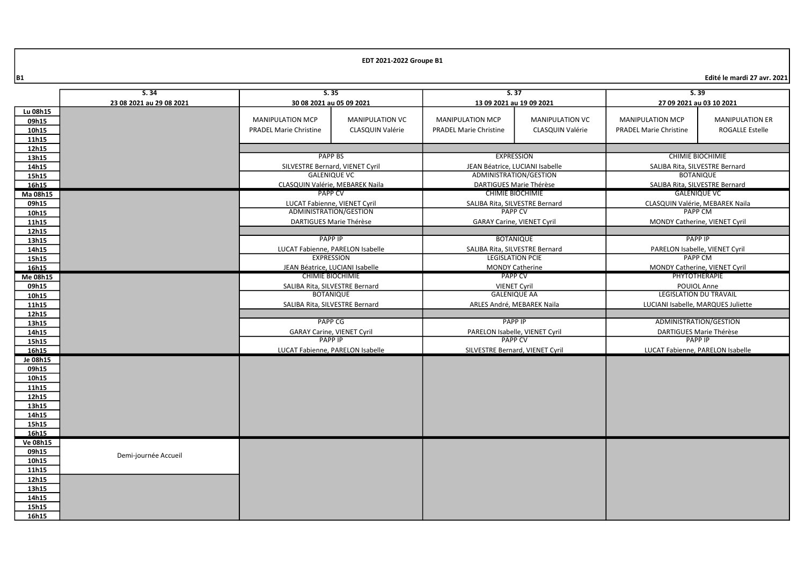|                | 5.35<br>S.34                                         |                                                       | 5.37                     |                                                           | 5.39                     |                                                  |                                  |  |
|----------------|------------------------------------------------------|-------------------------------------------------------|--------------------------|-----------------------------------------------------------|--------------------------|--------------------------------------------------|----------------------------------|--|
|                | 23 08 2021 au 29 08 2021<br>30 08 2021 au 05 09 2021 |                                                       | 13 09 2021 au 19 09 2021 |                                                           | 27 09 2021 au 03 10 2021 |                                                  |                                  |  |
| Lu 08h15       |                                                      |                                                       |                          |                                                           |                          |                                                  |                                  |  |
| 09h15          |                                                      | <b>MANIPULATION MCP</b>                               | <b>MANIPULATION VC</b>   | <b>MANIPULATION MCP</b>                                   | <b>MANIPULATION VC</b>   | <b>MANIPULATION MCP</b>                          | <b>MANIPULATION ER</b>           |  |
| 10h15          |                                                      | <b>PRADEL Marie Christine</b>                         | CLASQUIN Valérie         | <b>PRADEL Marie Christine</b>                             | CLASQUIN Valérie         | <b>PRADEL Marie Christine</b>                    | <b>ROGALLE Estelle</b>           |  |
| 11h15          |                                                      |                                                       |                          |                                                           |                          |                                                  |                                  |  |
| 12h15          |                                                      |                                                       |                          |                                                           |                          |                                                  |                                  |  |
| 13h15          |                                                      | <b>PAPP BS</b>                                        |                          | <b>EXPRESSION</b>                                         |                          | <b>CHIMIE BIOCHIMIE</b>                          |                                  |  |
| 14h15          |                                                      | SILVESTRE Bernard, VIENET Cyril                       |                          | JEAN Béatrice. LUCIANI Isabelle                           |                          | SALIBA Rita, SILVESTRE Bernard                   |                                  |  |
| 15h15          |                                                      | <b>GALENIQUE VC</b>                                   |                          | ADMINISTRATION/GESTION                                    |                          | <b>BOTANIQUE</b>                                 |                                  |  |
| 16h15          |                                                      | CLASQUIN Valérie, MEBAREK Naila                       |                          | DARTIGUES Marie Thérèse                                   |                          | SALIBA Rita, SILVESTRE Bernard                   |                                  |  |
| Ma 08h15       |                                                      | <b>PAPP CV</b>                                        |                          |                                                           | <b>CHIMIE BIOCHIMIE</b>  |                                                  | GALENIOUE VC                     |  |
| 09h15          |                                                      | LUCAT Fabienne, VIENET Cyril                          |                          | SALIBA Rita, SILVESTRE Bernard                            |                          |                                                  | CLASQUIN Valérie, MEBAREK Naila  |  |
| 10h15          |                                                      | ADMINISTRATION/GESTION                                |                          | <b>PAPP CV</b>                                            |                          |                                                  | <b>PAPP CM</b>                   |  |
| 11h15          |                                                      | DARTIGUES Marie Thérèse                               |                          | <b>GARAY Carine, VIENET Cyril</b>                         |                          | MONDY Catherine, VIENET Cyril                    |                                  |  |
| 12h15          |                                                      |                                                       |                          |                                                           |                          | <b>PAPP IP</b>                                   |                                  |  |
| 13h15          |                                                      | <b>PAPP IP</b>                                        |                          | <b>BOTANIQUE</b>                                          |                          |                                                  |                                  |  |
| 14h15<br>15h15 |                                                      | LUCAT Fabienne, PARELON Isabelle<br><b>EXPRESSION</b> |                          | SALIBA Rita, SILVESTRE Bernard<br><b>LEGISLATION PCIE</b> |                          | PARELON Isabelle, VIENET Cyril<br><b>PAPP CM</b> |                                  |  |
| 16h15          |                                                      | JEAN Béatrice, LUCIANI Isabelle                       |                          | <b>MONDY Catherine</b>                                    |                          | MONDY Catherine, VIENET Cyril                    |                                  |  |
| Me 08h15       |                                                      | <b>CHIMIE BIOCHIMIE</b>                               |                          | <b>PAPP CV</b>                                            |                          |                                                  | PHYTOTHERAPIE                    |  |
| 09h15          |                                                      | SALIBA Rita, SILVESTRE Bernard                        |                          | <b>VIENET Cyril</b>                                       |                          |                                                  | POUIOL Anne                      |  |
| 10h15          |                                                      | <b>BOTANIQUE</b>                                      |                          | <b>GALENIQUE AA</b>                                       |                          | <b>LEGISLATION DU TRAVAIL</b>                    |                                  |  |
| 11h15          |                                                      | SALIBA Rita, SILVESTRE Bernard                        |                          | ARLES André, MEBAREK Naila                                |                          | LUCIANI Isabelle, MARQUES Juliette               |                                  |  |
| 12h15          |                                                      |                                                       |                          |                                                           |                          |                                                  |                                  |  |
| 13h15          |                                                      | <b>PAPP CG</b>                                        |                          | <b>PAPP IP</b>                                            |                          |                                                  | ADMINISTRATION/GESTION           |  |
| 14h15          |                                                      | <b>GARAY Carine, VIENET Cyril</b>                     |                          | PARELON Isabelle, VIENET Cyril                            |                          | DARTIGUES Marie Thérèse                          |                                  |  |
| 15h15          |                                                      | <b>PAPP IP</b>                                        |                          | <b>PAPP CV</b>                                            |                          |                                                  | <b>PAPP IP</b>                   |  |
| 16h15          | LUCAT Fabienne, PARELON Isabelle                     |                                                       |                          | SILVESTRE Bernard, VIENET Cyril                           |                          |                                                  | LUCAT Fabienne, PARELON Isabelle |  |
| Je 08h15       |                                                      |                                                       |                          |                                                           |                          |                                                  |                                  |  |
| 09h15          |                                                      |                                                       |                          |                                                           |                          |                                                  |                                  |  |
| 10h15          |                                                      |                                                       |                          |                                                           |                          |                                                  |                                  |  |
| 11h15          |                                                      |                                                       |                          |                                                           |                          |                                                  |                                  |  |
| 12h15          |                                                      |                                                       |                          |                                                           |                          |                                                  |                                  |  |
| 13h15<br>14h15 |                                                      |                                                       |                          |                                                           |                          |                                                  |                                  |  |
| 15h15          |                                                      |                                                       |                          |                                                           |                          |                                                  |                                  |  |
| 16h15          |                                                      |                                                       |                          |                                                           |                          |                                                  |                                  |  |
| Ve 08h15       |                                                      |                                                       |                          |                                                           |                          |                                                  |                                  |  |
| 09h15          |                                                      |                                                       |                          |                                                           |                          |                                                  |                                  |  |
| 10h15          | Demi-journée Accueil                                 |                                                       |                          |                                                           |                          |                                                  |                                  |  |
| 11h15          |                                                      |                                                       |                          |                                                           |                          |                                                  |                                  |  |
| 12h15          |                                                      |                                                       |                          |                                                           |                          |                                                  |                                  |  |
| 13h15          |                                                      |                                                       |                          |                                                           |                          |                                                  |                                  |  |
| 14h15          |                                                      |                                                       |                          |                                                           |                          |                                                  |                                  |  |
| 15h15          |                                                      |                                                       |                          |                                                           |                          |                                                  |                                  |  |
| 16h15          |                                                      |                                                       |                          |                                                           |                          |                                                  |                                  |  |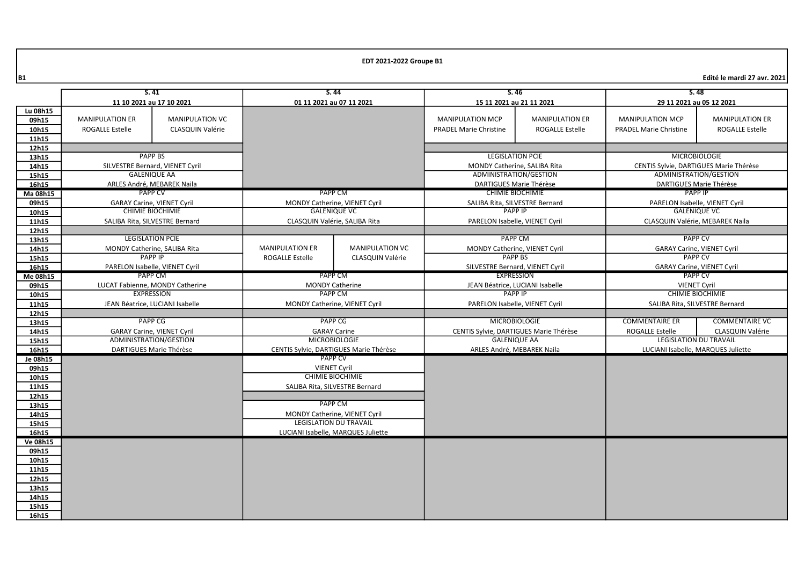|                | 5.41                                      |                                                              | S.44                                                 |                         | S.46                                             |                                        | S.48                                                  |                                    |
|----------------|-------------------------------------------|--------------------------------------------------------------|------------------------------------------------------|-------------------------|--------------------------------------------------|----------------------------------------|-------------------------------------------------------|------------------------------------|
|                | 11 10 2021 au 17 10 2021                  |                                                              | 01 11 2021 au 07 11 2021                             |                         | 15 11 2021 au 21 11 2021                         |                                        | 29 11 2021 au 05 12 2021                              |                                    |
| Lu 08h15       |                                           |                                                              |                                                      |                         |                                                  |                                        |                                                       |                                    |
| 09h15          | <b>MANIPULATION ER</b>                    | <b>MANIPULATION VC</b>                                       |                                                      |                         | <b>MANIPULATION MCP</b>                          | <b>MANIPULATION ER</b>                 | <b>MANIPULATION MCP</b>                               | <b>MANIPULATION ER</b>             |
| 10h15          | ROGALLE Estelle                           | CLASQUIN Valérie                                             |                                                      |                         | <b>PRADEL Marie Christine</b>                    | <b>ROGALLE Estelle</b>                 | <b>PRADEL Marie Christine</b>                         | <b>ROGALLE Estelle</b>             |
| 11h15          |                                           |                                                              |                                                      |                         |                                                  |                                        |                                                       |                                    |
| 12h15          |                                           |                                                              |                                                      |                         |                                                  |                                        |                                                       |                                    |
| 13h15          |                                           | <b>PAPP BS</b>                                               |                                                      |                         | <b>LEGISLATION PCIE</b>                          |                                        | <b>MICROBIOLOGIE</b>                                  |                                    |
| 14h15          |                                           | SILVESTRE Bernard, VIENET Cyril                              |                                                      |                         | MONDY Catherine, SALIBA Rita                     |                                        | CENTIS Sylvie, DARTIGUES Marie Thérèse                |                                    |
| 15h15          | <b>GALENIQUE AA</b>                       |                                                              |                                                      |                         | ADMINISTRATION/GESTION                           |                                        | ADMINISTRATION/GESTION                                |                                    |
| 16h15          |                                           | ARLES André, MEBAREK Naila<br><b>PAPP CV</b>                 |                                                      |                         | DARTIGUES Marie Thérèse                          |                                        | DARTIGUES Marie Thérèse                               |                                    |
| Ma 08h15       |                                           |                                                              | PAPP CM                                              |                         | <b>CHIMIE BIOCHIMIE</b>                          |                                        | <b>PAPP IP</b>                                        |                                    |
| 09h15          |                                           | <b>GARAY Carine, VIENET Cyril</b><br><b>CHIMIE BIOCHIMIE</b> | MONDY Catherine, VIENET Cyril<br><b>GALENIQUE VC</b> |                         | SALIBA Rita, SILVESTRE Bernard<br><b>PAPP IP</b> |                                        | PARELON Isabelle, VIENET Cyril<br><b>GALENIQUE VC</b> |                                    |
| 10h15          |                                           |                                                              |                                                      |                         |                                                  |                                        |                                                       |                                    |
| 11h15          |                                           | SALIBA Rita, SILVESTRE Bernard                               | CLASQUIN Valérie, SALIBA Rita                        |                         |                                                  | PARELON Isabelle, VIENET Cyril         |                                                       | CLASQUIN Valérie, MEBAREK Naila    |
| 12h15          |                                           | <b>LEGISLATION PCIE</b>                                      |                                                      |                         | <b>PAPP CM</b>                                   |                                        | <b>PAPP CV</b>                                        |                                    |
| 13h15<br>14h15 |                                           | MONDY Catherine, SALIBA Rita                                 | <b>MANIPULATION ER</b>                               | <b>MANIPULATION VC</b>  | MONDY Catherine, VIENET Cyril                    |                                        | <b>GARAY Carine, VIENET Cyril</b>                     |                                    |
| 15h15          |                                           | <b>PAPP IP</b>                                               | <b>ROGALLE Estelle</b>                               | <b>CLASQUIN Valérie</b> | <b>PAPP BS</b>                                   |                                        | <b>PAPP CV</b>                                        |                                    |
| 16h15          |                                           |                                                              |                                                      |                         | SILVESTRE Bernard, VIENET Cyril                  |                                        | <b>GARAY Carine, VIENET Cyril</b>                     |                                    |
| Me 08h15       | PARELON Isabelle, VIENET Cyril<br>PAPP CM |                                                              | PAPP CM                                              |                         | <b>EXPRESSION</b>                                |                                        | <b>PAPP CV</b>                                        |                                    |
| 09h15          | LUCAT Fabienne, MONDY Catherine           |                                                              | <b>MONDY Catherine</b>                               |                         | JEAN Béatrice, LUCIANI Isabelle                  |                                        | <b>VIENET Cyril</b>                                   |                                    |
| 10h15          | <b>EXPRESSION</b>                         |                                                              | <b>PAPP CM</b>                                       |                         | <b>PAPP IP</b>                                   |                                        | <b>CHIMIE BIOCHIMIE</b>                               |                                    |
| 11h15          |                                           | JEAN Béatrice, LUCIANI Isabelle                              | MONDY Catherine, VIENET Cyril                        |                         | PARELON Isabelle, VIENET Cyril                   |                                        |                                                       | SALIBA Rita, SILVESTRE Bernard     |
| 12h15          |                                           |                                                              |                                                      |                         |                                                  |                                        |                                                       |                                    |
| 13h15          |                                           | PAPP <sub>CG</sub>                                           | <b>PAPP CG</b>                                       |                         | <b>MICROBIOLOGIE</b>                             |                                        | <b>COMMENTAIRE ER</b>                                 | <b>COMMENTAIRE VC</b>              |
| 14h15          |                                           | <b>GARAY Carine, VIENET Cyril</b>                            | <b>GARAY Carine</b>                                  |                         |                                                  | CENTIS Sylvie, DARTIGUES Marie Thérèse | <b>ROGALLE Estelle</b>                                | CLASQUIN Valérie                   |
| 15h15          |                                           | ADMINISTRATION/GESTION                                       | <b>MICROBIOLOGIE</b>                                 |                         | <b>GALENIQUE AA</b>                              |                                        | <b>LEGISLATION DU TRAVAIL</b>                         |                                    |
| 16h15          |                                           | DARTIGUES Marie Thérèse                                      | CENTIS Sylvie, DARTIGUES Marie Thérèse               |                         | ARLES André, MEBAREK Naila                       |                                        |                                                       | LUCIANI Isabelle, MARQUES Juliette |
| Je 08h15       |                                           |                                                              | <b>PAPP CV</b>                                       |                         |                                                  |                                        |                                                       |                                    |
| 09h15          |                                           |                                                              | <b>VIENET Cyril</b>                                  |                         |                                                  |                                        |                                                       |                                    |
| 10h15          |                                           |                                                              | <b>CHIMIE BIOCHIMIE</b>                              |                         |                                                  |                                        |                                                       |                                    |
| 11h15          |                                           |                                                              | SALIBA Rita, SILVESTRE Bernard                       |                         |                                                  |                                        |                                                       |                                    |
| 12h15          |                                           |                                                              |                                                      |                         |                                                  |                                        |                                                       |                                    |
| 13h15          |                                           |                                                              | <b>PAPP CM</b>                                       |                         |                                                  |                                        |                                                       |                                    |
| 14h15          |                                           |                                                              | MONDY Catherine, VIENET Cyril                        |                         |                                                  |                                        |                                                       |                                    |
| 15h15          |                                           |                                                              | <b>LEGISLATION DU TRAVAIL</b>                        |                         |                                                  |                                        |                                                       |                                    |
| 16h15          |                                           |                                                              | LUCIANI Isabelle, MARQUES Juliette                   |                         |                                                  |                                        |                                                       |                                    |
| Ve 08h15       |                                           |                                                              |                                                      |                         |                                                  |                                        |                                                       |                                    |
| 09h15<br>10h15 |                                           |                                                              |                                                      |                         |                                                  |                                        |                                                       |                                    |
| 11h15          |                                           |                                                              |                                                      |                         |                                                  |                                        |                                                       |                                    |
| 12h15          |                                           |                                                              |                                                      |                         |                                                  |                                        |                                                       |                                    |
| 13h15          |                                           |                                                              |                                                      |                         |                                                  |                                        |                                                       |                                    |
| 14h15          |                                           |                                                              |                                                      |                         |                                                  |                                        |                                                       |                                    |
| 15h15          |                                           |                                                              |                                                      |                         |                                                  |                                        |                                                       |                                    |
| 16h15          |                                           |                                                              |                                                      |                         |                                                  |                                        |                                                       |                                    |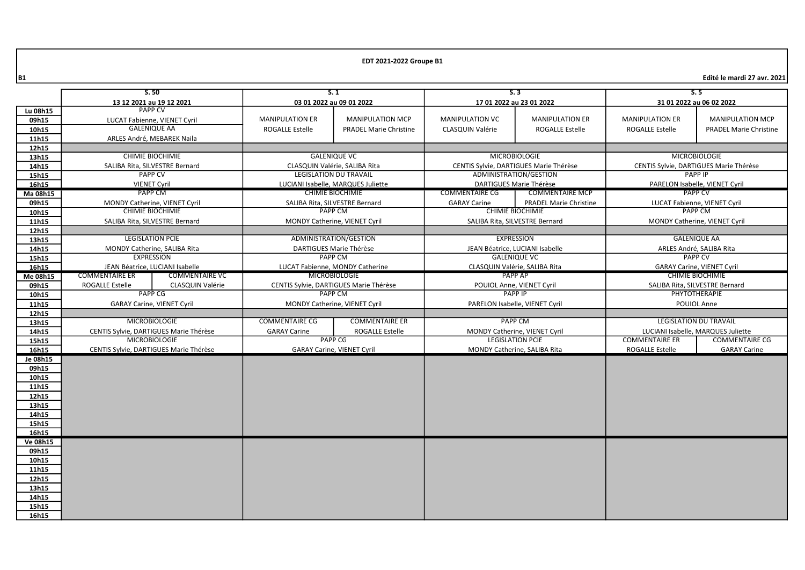| 13 12 2021 au 19 12 2021<br>03 01 2022 au 09 01 2022<br>17 01 2022 au 23 01 2022<br>31 01 2022 au 06 02 2022<br><b>PAPP CV</b><br>Lu 08h15<br><b>MANIPULATION ER</b><br><b>MANIPULATION MCP</b><br><b>MANIPULATION VC</b><br><b>MANIPULATION ER</b><br><b>MANIPULATION ER</b><br><b>MANIPULATION MCP</b><br>09h15<br>LUCAT Fabienne, VIENET Cyril<br><b>GALENIQUE AA</b><br><b>ROGALLE Estelle</b><br>CLASQUIN Valérie<br><b>ROGALLE Estelle</b><br><b>ROGALLE Estelle</b><br>10h15<br><b>PRADEL Marie Christine</b><br><b>PRADEL Marie Christine</b><br>11h15<br>ARLES André, MEBAREK Naila<br>12h15<br><b>MICROBIOLOGIE</b><br><b>MICROBIOLOGIE</b><br><b>CHIMIE BIOCHIMIE</b><br><b>GALENIQUE VC</b><br>13h15<br>14h15<br>CLASQUIN Valérie, SALIBA Rita<br>CENTIS Sylvie, DARTIGUES Marie Thérèse<br>CENTIS Sylvie, DARTIGUES Marie Thérèse<br>SALIBA Rita, SILVESTRE Bernard<br><b>PAPP CV</b><br><b>LEGISLATION DU TRAVAIL</b><br>ADMINISTRATION/GESTION<br>PAPP IP<br>15h15<br><b>DARTIGUES Marie Thérèse</b><br>16h15<br><b>VIENET Cyril</b><br>LUCIANI Isabelle, MARQUES Juliette<br>PARELON Isabelle, VIENET Cyril<br>PAPP CM<br><b>CHIMIE BIOCHIMIE</b><br><b>COMMENTAIRE CG</b><br><b>COMMENTAIRE MCP</b><br><b>PAPP CV</b><br>Ma 08h15<br><b>PRADEL Marie Christine</b><br>09h15<br>MONDY Catherine, VIENET Cyril<br>SALIBA Rita, SILVESTRE Bernard<br><b>GARAY Carine</b><br>LUCAT Fabienne, VIENET Cyril<br><b>CHIMIE BIOCHIMIE</b><br>PAPP CM<br><b>CHIMIE BIOCHIMIE</b><br>PAPP CM<br>10h15<br>SALIBA Rita, SILVESTRE Bernard<br>MONDY Catherine, VIENET Cyril<br>SALIBA Rita, SILVESTRE Bernard<br>MONDY Catherine, VIENET Cyril<br>11h15<br>12h15<br><b>EXPRESSION</b><br><b>LEGISLATION PCIE</b><br>ADMINISTRATION/GESTION<br><b>GALENIQUE AA</b><br>13h15<br>14h15<br>MONDY Catherine, SALIBA Rita<br>DARTIGUES Marie Thérèse<br>JEAN Béatrice, LUCIANI Isabelle<br>ARLES André, SALIBA Rita<br><b>EXPRESSION</b><br><b>PAPP CM</b><br><b>GALENIQUE VC</b><br><b>PAPP CV</b><br>15h15<br>16h15<br>JEAN Béatrice, LUCIANI Isabelle<br>LUCAT Fabienne, MONDY Catherine<br>CLASQUIN Valérie, SALIBA Rita<br><b>GARAY Carine, VIENET Cyril</b><br><b>MICROBIOLOGIE</b><br>PAPP AP<br><b>CHIMIE BIOCHIMIE</b><br><b>COMMENTAIRE ER</b><br><b>COMMENTAIRE VC</b><br>Me 08h15<br><b>ROGALLE Estelle</b><br>CLASQUIN Valérie<br>CENTIS Sylvie, DARTIGUES Marie Thérèse<br>SALIBA Rita, SILVESTRE Bernard<br>09h15<br>POUIOL Anne, VIENET Cyril<br><b>PAPP CG</b><br><b>PAPP CM</b><br><b>PAPP IP</b><br>PHYTOTHERAPIE<br>10h15<br>11h15<br>POUIOL Anne<br><b>GARAY Carine, VIENET Cyril</b><br><b>MONDY Catherine, VIENET Cyril</b><br>PARELON Isabelle, VIENET Cyril<br>12h15<br><b>MICROBIOLOGIE</b><br><b>COMMENTAIRE CG</b><br><b>PAPP CM</b><br><b>LEGISLATION DU TRAVAIL</b><br><b>COMMENTAIRE ER</b><br>13h15<br>14h15<br>CENTIS Sylvie, DARTIGUES Marie Thérèse<br><b>GARAY Carine</b><br><b>ROGALLE Estelle</b><br>MONDY Catherine, VIENET Cyril<br>LUCIANI Isabelle, MARQUES Juliette<br><b>MICROBIOLOGIE</b><br><b>PAPP CG</b><br><b>LEGISLATION PCIE</b><br><b>COMMENTAIRE CG</b><br><b>COMMENTAIRE ER</b><br>15h15<br>16h15<br>CENTIS Sylvie, DARTIGUES Marie Thérèse<br>MONDY Catherine, SALIBA Rita<br><b>ROGALLE Estelle</b><br><b>GARAY Carine</b><br><b>GARAY Carine, VIENET Cyril</b><br>Je 08h15<br>09h15<br>10h15<br>11h15<br>12h15<br>13h15<br>14h15<br>15h15<br>16h15<br><b>Ve 08h15</b><br>09h15<br>10h15<br>11h15<br>12h15<br>13h15<br>14h15 |       | S.50 |  | S.1 |  | S.3 |  | 5.5 |  |  |
|-----------------------------------------------------------------------------------------------------------------------------------------------------------------------------------------------------------------------------------------------------------------------------------------------------------------------------------------------------------------------------------------------------------------------------------------------------------------------------------------------------------------------------------------------------------------------------------------------------------------------------------------------------------------------------------------------------------------------------------------------------------------------------------------------------------------------------------------------------------------------------------------------------------------------------------------------------------------------------------------------------------------------------------------------------------------------------------------------------------------------------------------------------------------------------------------------------------------------------------------------------------------------------------------------------------------------------------------------------------------------------------------------------------------------------------------------------------------------------------------------------------------------------------------------------------------------------------------------------------------------------------------------------------------------------------------------------------------------------------------------------------------------------------------------------------------------------------------------------------------------------------------------------------------------------------------------------------------------------------------------------------------------------------------------------------------------------------------------------------------------------------------------------------------------------------------------------------------------------------------------------------------------------------------------------------------------------------------------------------------------------------------------------------------------------------------------------------------------------------------------------------------------------------------------------------------------------------------------------------------------------------------------------------------------------------------------------------------------------------------------------------------------------------------------------------------------------------------------------------------------------------------------------------------------------------------------------------------------------------------------------------------------------------------------------------------------------------------------------------------------------------------------------------------------------------------------------------------------------------------------------------------------------------------------------------------------------------------------------------------------------------------------------------------------------------------------------------------------------------|-------|------|--|-----|--|-----|--|-----|--|--|
|                                                                                                                                                                                                                                                                                                                                                                                                                                                                                                                                                                                                                                                                                                                                                                                                                                                                                                                                                                                                                                                                                                                                                                                                                                                                                                                                                                                                                                                                                                                                                                                                                                                                                                                                                                                                                                                                                                                                                                                                                                                                                                                                                                                                                                                                                                                                                                                                                                                                                                                                                                                                                                                                                                                                                                                                                                                                                                                                                                                                                                                                                                                                                                                                                                                                                                                                                                                                                                                                                   |       |      |  |     |  |     |  |     |  |  |
|                                                                                                                                                                                                                                                                                                                                                                                                                                                                                                                                                                                                                                                                                                                                                                                                                                                                                                                                                                                                                                                                                                                                                                                                                                                                                                                                                                                                                                                                                                                                                                                                                                                                                                                                                                                                                                                                                                                                                                                                                                                                                                                                                                                                                                                                                                                                                                                                                                                                                                                                                                                                                                                                                                                                                                                                                                                                                                                                                                                                                                                                                                                                                                                                                                                                                                                                                                                                                                                                                   |       |      |  |     |  |     |  |     |  |  |
|                                                                                                                                                                                                                                                                                                                                                                                                                                                                                                                                                                                                                                                                                                                                                                                                                                                                                                                                                                                                                                                                                                                                                                                                                                                                                                                                                                                                                                                                                                                                                                                                                                                                                                                                                                                                                                                                                                                                                                                                                                                                                                                                                                                                                                                                                                                                                                                                                                                                                                                                                                                                                                                                                                                                                                                                                                                                                                                                                                                                                                                                                                                                                                                                                                                                                                                                                                                                                                                                                   |       |      |  |     |  |     |  |     |  |  |
|                                                                                                                                                                                                                                                                                                                                                                                                                                                                                                                                                                                                                                                                                                                                                                                                                                                                                                                                                                                                                                                                                                                                                                                                                                                                                                                                                                                                                                                                                                                                                                                                                                                                                                                                                                                                                                                                                                                                                                                                                                                                                                                                                                                                                                                                                                                                                                                                                                                                                                                                                                                                                                                                                                                                                                                                                                                                                                                                                                                                                                                                                                                                                                                                                                                                                                                                                                                                                                                                                   |       |      |  |     |  |     |  |     |  |  |
|                                                                                                                                                                                                                                                                                                                                                                                                                                                                                                                                                                                                                                                                                                                                                                                                                                                                                                                                                                                                                                                                                                                                                                                                                                                                                                                                                                                                                                                                                                                                                                                                                                                                                                                                                                                                                                                                                                                                                                                                                                                                                                                                                                                                                                                                                                                                                                                                                                                                                                                                                                                                                                                                                                                                                                                                                                                                                                                                                                                                                                                                                                                                                                                                                                                                                                                                                                                                                                                                                   |       |      |  |     |  |     |  |     |  |  |
|                                                                                                                                                                                                                                                                                                                                                                                                                                                                                                                                                                                                                                                                                                                                                                                                                                                                                                                                                                                                                                                                                                                                                                                                                                                                                                                                                                                                                                                                                                                                                                                                                                                                                                                                                                                                                                                                                                                                                                                                                                                                                                                                                                                                                                                                                                                                                                                                                                                                                                                                                                                                                                                                                                                                                                                                                                                                                                                                                                                                                                                                                                                                                                                                                                                                                                                                                                                                                                                                                   |       |      |  |     |  |     |  |     |  |  |
|                                                                                                                                                                                                                                                                                                                                                                                                                                                                                                                                                                                                                                                                                                                                                                                                                                                                                                                                                                                                                                                                                                                                                                                                                                                                                                                                                                                                                                                                                                                                                                                                                                                                                                                                                                                                                                                                                                                                                                                                                                                                                                                                                                                                                                                                                                                                                                                                                                                                                                                                                                                                                                                                                                                                                                                                                                                                                                                                                                                                                                                                                                                                                                                                                                                                                                                                                                                                                                                                                   |       |      |  |     |  |     |  |     |  |  |
|                                                                                                                                                                                                                                                                                                                                                                                                                                                                                                                                                                                                                                                                                                                                                                                                                                                                                                                                                                                                                                                                                                                                                                                                                                                                                                                                                                                                                                                                                                                                                                                                                                                                                                                                                                                                                                                                                                                                                                                                                                                                                                                                                                                                                                                                                                                                                                                                                                                                                                                                                                                                                                                                                                                                                                                                                                                                                                                                                                                                                                                                                                                                                                                                                                                                                                                                                                                                                                                                                   |       |      |  |     |  |     |  |     |  |  |
|                                                                                                                                                                                                                                                                                                                                                                                                                                                                                                                                                                                                                                                                                                                                                                                                                                                                                                                                                                                                                                                                                                                                                                                                                                                                                                                                                                                                                                                                                                                                                                                                                                                                                                                                                                                                                                                                                                                                                                                                                                                                                                                                                                                                                                                                                                                                                                                                                                                                                                                                                                                                                                                                                                                                                                                                                                                                                                                                                                                                                                                                                                                                                                                                                                                                                                                                                                                                                                                                                   |       |      |  |     |  |     |  |     |  |  |
|                                                                                                                                                                                                                                                                                                                                                                                                                                                                                                                                                                                                                                                                                                                                                                                                                                                                                                                                                                                                                                                                                                                                                                                                                                                                                                                                                                                                                                                                                                                                                                                                                                                                                                                                                                                                                                                                                                                                                                                                                                                                                                                                                                                                                                                                                                                                                                                                                                                                                                                                                                                                                                                                                                                                                                                                                                                                                                                                                                                                                                                                                                                                                                                                                                                                                                                                                                                                                                                                                   |       |      |  |     |  |     |  |     |  |  |
|                                                                                                                                                                                                                                                                                                                                                                                                                                                                                                                                                                                                                                                                                                                                                                                                                                                                                                                                                                                                                                                                                                                                                                                                                                                                                                                                                                                                                                                                                                                                                                                                                                                                                                                                                                                                                                                                                                                                                                                                                                                                                                                                                                                                                                                                                                                                                                                                                                                                                                                                                                                                                                                                                                                                                                                                                                                                                                                                                                                                                                                                                                                                                                                                                                                                                                                                                                                                                                                                                   |       |      |  |     |  |     |  |     |  |  |
|                                                                                                                                                                                                                                                                                                                                                                                                                                                                                                                                                                                                                                                                                                                                                                                                                                                                                                                                                                                                                                                                                                                                                                                                                                                                                                                                                                                                                                                                                                                                                                                                                                                                                                                                                                                                                                                                                                                                                                                                                                                                                                                                                                                                                                                                                                                                                                                                                                                                                                                                                                                                                                                                                                                                                                                                                                                                                                                                                                                                                                                                                                                                                                                                                                                                                                                                                                                                                                                                                   |       |      |  |     |  |     |  |     |  |  |
|                                                                                                                                                                                                                                                                                                                                                                                                                                                                                                                                                                                                                                                                                                                                                                                                                                                                                                                                                                                                                                                                                                                                                                                                                                                                                                                                                                                                                                                                                                                                                                                                                                                                                                                                                                                                                                                                                                                                                                                                                                                                                                                                                                                                                                                                                                                                                                                                                                                                                                                                                                                                                                                                                                                                                                                                                                                                                                                                                                                                                                                                                                                                                                                                                                                                                                                                                                                                                                                                                   |       |      |  |     |  |     |  |     |  |  |
|                                                                                                                                                                                                                                                                                                                                                                                                                                                                                                                                                                                                                                                                                                                                                                                                                                                                                                                                                                                                                                                                                                                                                                                                                                                                                                                                                                                                                                                                                                                                                                                                                                                                                                                                                                                                                                                                                                                                                                                                                                                                                                                                                                                                                                                                                                                                                                                                                                                                                                                                                                                                                                                                                                                                                                                                                                                                                                                                                                                                                                                                                                                                                                                                                                                                                                                                                                                                                                                                                   |       |      |  |     |  |     |  |     |  |  |
|                                                                                                                                                                                                                                                                                                                                                                                                                                                                                                                                                                                                                                                                                                                                                                                                                                                                                                                                                                                                                                                                                                                                                                                                                                                                                                                                                                                                                                                                                                                                                                                                                                                                                                                                                                                                                                                                                                                                                                                                                                                                                                                                                                                                                                                                                                                                                                                                                                                                                                                                                                                                                                                                                                                                                                                                                                                                                                                                                                                                                                                                                                                                                                                                                                                                                                                                                                                                                                                                                   |       |      |  |     |  |     |  |     |  |  |
|                                                                                                                                                                                                                                                                                                                                                                                                                                                                                                                                                                                                                                                                                                                                                                                                                                                                                                                                                                                                                                                                                                                                                                                                                                                                                                                                                                                                                                                                                                                                                                                                                                                                                                                                                                                                                                                                                                                                                                                                                                                                                                                                                                                                                                                                                                                                                                                                                                                                                                                                                                                                                                                                                                                                                                                                                                                                                                                                                                                                                                                                                                                                                                                                                                                                                                                                                                                                                                                                                   |       |      |  |     |  |     |  |     |  |  |
|                                                                                                                                                                                                                                                                                                                                                                                                                                                                                                                                                                                                                                                                                                                                                                                                                                                                                                                                                                                                                                                                                                                                                                                                                                                                                                                                                                                                                                                                                                                                                                                                                                                                                                                                                                                                                                                                                                                                                                                                                                                                                                                                                                                                                                                                                                                                                                                                                                                                                                                                                                                                                                                                                                                                                                                                                                                                                                                                                                                                                                                                                                                                                                                                                                                                                                                                                                                                                                                                                   |       |      |  |     |  |     |  |     |  |  |
|                                                                                                                                                                                                                                                                                                                                                                                                                                                                                                                                                                                                                                                                                                                                                                                                                                                                                                                                                                                                                                                                                                                                                                                                                                                                                                                                                                                                                                                                                                                                                                                                                                                                                                                                                                                                                                                                                                                                                                                                                                                                                                                                                                                                                                                                                                                                                                                                                                                                                                                                                                                                                                                                                                                                                                                                                                                                                                                                                                                                                                                                                                                                                                                                                                                                                                                                                                                                                                                                                   |       |      |  |     |  |     |  |     |  |  |
|                                                                                                                                                                                                                                                                                                                                                                                                                                                                                                                                                                                                                                                                                                                                                                                                                                                                                                                                                                                                                                                                                                                                                                                                                                                                                                                                                                                                                                                                                                                                                                                                                                                                                                                                                                                                                                                                                                                                                                                                                                                                                                                                                                                                                                                                                                                                                                                                                                                                                                                                                                                                                                                                                                                                                                                                                                                                                                                                                                                                                                                                                                                                                                                                                                                                                                                                                                                                                                                                                   |       |      |  |     |  |     |  |     |  |  |
|                                                                                                                                                                                                                                                                                                                                                                                                                                                                                                                                                                                                                                                                                                                                                                                                                                                                                                                                                                                                                                                                                                                                                                                                                                                                                                                                                                                                                                                                                                                                                                                                                                                                                                                                                                                                                                                                                                                                                                                                                                                                                                                                                                                                                                                                                                                                                                                                                                                                                                                                                                                                                                                                                                                                                                                                                                                                                                                                                                                                                                                                                                                                                                                                                                                                                                                                                                                                                                                                                   |       |      |  |     |  |     |  |     |  |  |
|                                                                                                                                                                                                                                                                                                                                                                                                                                                                                                                                                                                                                                                                                                                                                                                                                                                                                                                                                                                                                                                                                                                                                                                                                                                                                                                                                                                                                                                                                                                                                                                                                                                                                                                                                                                                                                                                                                                                                                                                                                                                                                                                                                                                                                                                                                                                                                                                                                                                                                                                                                                                                                                                                                                                                                                                                                                                                                                                                                                                                                                                                                                                                                                                                                                                                                                                                                                                                                                                                   |       |      |  |     |  |     |  |     |  |  |
|                                                                                                                                                                                                                                                                                                                                                                                                                                                                                                                                                                                                                                                                                                                                                                                                                                                                                                                                                                                                                                                                                                                                                                                                                                                                                                                                                                                                                                                                                                                                                                                                                                                                                                                                                                                                                                                                                                                                                                                                                                                                                                                                                                                                                                                                                                                                                                                                                                                                                                                                                                                                                                                                                                                                                                                                                                                                                                                                                                                                                                                                                                                                                                                                                                                                                                                                                                                                                                                                                   |       |      |  |     |  |     |  |     |  |  |
|                                                                                                                                                                                                                                                                                                                                                                                                                                                                                                                                                                                                                                                                                                                                                                                                                                                                                                                                                                                                                                                                                                                                                                                                                                                                                                                                                                                                                                                                                                                                                                                                                                                                                                                                                                                                                                                                                                                                                                                                                                                                                                                                                                                                                                                                                                                                                                                                                                                                                                                                                                                                                                                                                                                                                                                                                                                                                                                                                                                                                                                                                                                                                                                                                                                                                                                                                                                                                                                                                   |       |      |  |     |  |     |  |     |  |  |
|                                                                                                                                                                                                                                                                                                                                                                                                                                                                                                                                                                                                                                                                                                                                                                                                                                                                                                                                                                                                                                                                                                                                                                                                                                                                                                                                                                                                                                                                                                                                                                                                                                                                                                                                                                                                                                                                                                                                                                                                                                                                                                                                                                                                                                                                                                                                                                                                                                                                                                                                                                                                                                                                                                                                                                                                                                                                                                                                                                                                                                                                                                                                                                                                                                                                                                                                                                                                                                                                                   |       |      |  |     |  |     |  |     |  |  |
|                                                                                                                                                                                                                                                                                                                                                                                                                                                                                                                                                                                                                                                                                                                                                                                                                                                                                                                                                                                                                                                                                                                                                                                                                                                                                                                                                                                                                                                                                                                                                                                                                                                                                                                                                                                                                                                                                                                                                                                                                                                                                                                                                                                                                                                                                                                                                                                                                                                                                                                                                                                                                                                                                                                                                                                                                                                                                                                                                                                                                                                                                                                                                                                                                                                                                                                                                                                                                                                                                   |       |      |  |     |  |     |  |     |  |  |
|                                                                                                                                                                                                                                                                                                                                                                                                                                                                                                                                                                                                                                                                                                                                                                                                                                                                                                                                                                                                                                                                                                                                                                                                                                                                                                                                                                                                                                                                                                                                                                                                                                                                                                                                                                                                                                                                                                                                                                                                                                                                                                                                                                                                                                                                                                                                                                                                                                                                                                                                                                                                                                                                                                                                                                                                                                                                                                                                                                                                                                                                                                                                                                                                                                                                                                                                                                                                                                                                                   |       |      |  |     |  |     |  |     |  |  |
|                                                                                                                                                                                                                                                                                                                                                                                                                                                                                                                                                                                                                                                                                                                                                                                                                                                                                                                                                                                                                                                                                                                                                                                                                                                                                                                                                                                                                                                                                                                                                                                                                                                                                                                                                                                                                                                                                                                                                                                                                                                                                                                                                                                                                                                                                                                                                                                                                                                                                                                                                                                                                                                                                                                                                                                                                                                                                                                                                                                                                                                                                                                                                                                                                                                                                                                                                                                                                                                                                   |       |      |  |     |  |     |  |     |  |  |
|                                                                                                                                                                                                                                                                                                                                                                                                                                                                                                                                                                                                                                                                                                                                                                                                                                                                                                                                                                                                                                                                                                                                                                                                                                                                                                                                                                                                                                                                                                                                                                                                                                                                                                                                                                                                                                                                                                                                                                                                                                                                                                                                                                                                                                                                                                                                                                                                                                                                                                                                                                                                                                                                                                                                                                                                                                                                                                                                                                                                                                                                                                                                                                                                                                                                                                                                                                                                                                                                                   |       |      |  |     |  |     |  |     |  |  |
|                                                                                                                                                                                                                                                                                                                                                                                                                                                                                                                                                                                                                                                                                                                                                                                                                                                                                                                                                                                                                                                                                                                                                                                                                                                                                                                                                                                                                                                                                                                                                                                                                                                                                                                                                                                                                                                                                                                                                                                                                                                                                                                                                                                                                                                                                                                                                                                                                                                                                                                                                                                                                                                                                                                                                                                                                                                                                                                                                                                                                                                                                                                                                                                                                                                                                                                                                                                                                                                                                   |       |      |  |     |  |     |  |     |  |  |
|                                                                                                                                                                                                                                                                                                                                                                                                                                                                                                                                                                                                                                                                                                                                                                                                                                                                                                                                                                                                                                                                                                                                                                                                                                                                                                                                                                                                                                                                                                                                                                                                                                                                                                                                                                                                                                                                                                                                                                                                                                                                                                                                                                                                                                                                                                                                                                                                                                                                                                                                                                                                                                                                                                                                                                                                                                                                                                                                                                                                                                                                                                                                                                                                                                                                                                                                                                                                                                                                                   |       |      |  |     |  |     |  |     |  |  |
|                                                                                                                                                                                                                                                                                                                                                                                                                                                                                                                                                                                                                                                                                                                                                                                                                                                                                                                                                                                                                                                                                                                                                                                                                                                                                                                                                                                                                                                                                                                                                                                                                                                                                                                                                                                                                                                                                                                                                                                                                                                                                                                                                                                                                                                                                                                                                                                                                                                                                                                                                                                                                                                                                                                                                                                                                                                                                                                                                                                                                                                                                                                                                                                                                                                                                                                                                                                                                                                                                   |       |      |  |     |  |     |  |     |  |  |
|                                                                                                                                                                                                                                                                                                                                                                                                                                                                                                                                                                                                                                                                                                                                                                                                                                                                                                                                                                                                                                                                                                                                                                                                                                                                                                                                                                                                                                                                                                                                                                                                                                                                                                                                                                                                                                                                                                                                                                                                                                                                                                                                                                                                                                                                                                                                                                                                                                                                                                                                                                                                                                                                                                                                                                                                                                                                                                                                                                                                                                                                                                                                                                                                                                                                                                                                                                                                                                                                                   |       |      |  |     |  |     |  |     |  |  |
|                                                                                                                                                                                                                                                                                                                                                                                                                                                                                                                                                                                                                                                                                                                                                                                                                                                                                                                                                                                                                                                                                                                                                                                                                                                                                                                                                                                                                                                                                                                                                                                                                                                                                                                                                                                                                                                                                                                                                                                                                                                                                                                                                                                                                                                                                                                                                                                                                                                                                                                                                                                                                                                                                                                                                                                                                                                                                                                                                                                                                                                                                                                                                                                                                                                                                                                                                                                                                                                                                   |       |      |  |     |  |     |  |     |  |  |
|                                                                                                                                                                                                                                                                                                                                                                                                                                                                                                                                                                                                                                                                                                                                                                                                                                                                                                                                                                                                                                                                                                                                                                                                                                                                                                                                                                                                                                                                                                                                                                                                                                                                                                                                                                                                                                                                                                                                                                                                                                                                                                                                                                                                                                                                                                                                                                                                                                                                                                                                                                                                                                                                                                                                                                                                                                                                                                                                                                                                                                                                                                                                                                                                                                                                                                                                                                                                                                                                                   |       |      |  |     |  |     |  |     |  |  |
|                                                                                                                                                                                                                                                                                                                                                                                                                                                                                                                                                                                                                                                                                                                                                                                                                                                                                                                                                                                                                                                                                                                                                                                                                                                                                                                                                                                                                                                                                                                                                                                                                                                                                                                                                                                                                                                                                                                                                                                                                                                                                                                                                                                                                                                                                                                                                                                                                                                                                                                                                                                                                                                                                                                                                                                                                                                                                                                                                                                                                                                                                                                                                                                                                                                                                                                                                                                                                                                                                   |       |      |  |     |  |     |  |     |  |  |
|                                                                                                                                                                                                                                                                                                                                                                                                                                                                                                                                                                                                                                                                                                                                                                                                                                                                                                                                                                                                                                                                                                                                                                                                                                                                                                                                                                                                                                                                                                                                                                                                                                                                                                                                                                                                                                                                                                                                                                                                                                                                                                                                                                                                                                                                                                                                                                                                                                                                                                                                                                                                                                                                                                                                                                                                                                                                                                                                                                                                                                                                                                                                                                                                                                                                                                                                                                                                                                                                                   |       |      |  |     |  |     |  |     |  |  |
|                                                                                                                                                                                                                                                                                                                                                                                                                                                                                                                                                                                                                                                                                                                                                                                                                                                                                                                                                                                                                                                                                                                                                                                                                                                                                                                                                                                                                                                                                                                                                                                                                                                                                                                                                                                                                                                                                                                                                                                                                                                                                                                                                                                                                                                                                                                                                                                                                                                                                                                                                                                                                                                                                                                                                                                                                                                                                                                                                                                                                                                                                                                                                                                                                                                                                                                                                                                                                                                                                   |       |      |  |     |  |     |  |     |  |  |
|                                                                                                                                                                                                                                                                                                                                                                                                                                                                                                                                                                                                                                                                                                                                                                                                                                                                                                                                                                                                                                                                                                                                                                                                                                                                                                                                                                                                                                                                                                                                                                                                                                                                                                                                                                                                                                                                                                                                                                                                                                                                                                                                                                                                                                                                                                                                                                                                                                                                                                                                                                                                                                                                                                                                                                                                                                                                                                                                                                                                                                                                                                                                                                                                                                                                                                                                                                                                                                                                                   |       |      |  |     |  |     |  |     |  |  |
|                                                                                                                                                                                                                                                                                                                                                                                                                                                                                                                                                                                                                                                                                                                                                                                                                                                                                                                                                                                                                                                                                                                                                                                                                                                                                                                                                                                                                                                                                                                                                                                                                                                                                                                                                                                                                                                                                                                                                                                                                                                                                                                                                                                                                                                                                                                                                                                                                                                                                                                                                                                                                                                                                                                                                                                                                                                                                                                                                                                                                                                                                                                                                                                                                                                                                                                                                                                                                                                                                   |       |      |  |     |  |     |  |     |  |  |
|                                                                                                                                                                                                                                                                                                                                                                                                                                                                                                                                                                                                                                                                                                                                                                                                                                                                                                                                                                                                                                                                                                                                                                                                                                                                                                                                                                                                                                                                                                                                                                                                                                                                                                                                                                                                                                                                                                                                                                                                                                                                                                                                                                                                                                                                                                                                                                                                                                                                                                                                                                                                                                                                                                                                                                                                                                                                                                                                                                                                                                                                                                                                                                                                                                                                                                                                                                                                                                                                                   |       |      |  |     |  |     |  |     |  |  |
|                                                                                                                                                                                                                                                                                                                                                                                                                                                                                                                                                                                                                                                                                                                                                                                                                                                                                                                                                                                                                                                                                                                                                                                                                                                                                                                                                                                                                                                                                                                                                                                                                                                                                                                                                                                                                                                                                                                                                                                                                                                                                                                                                                                                                                                                                                                                                                                                                                                                                                                                                                                                                                                                                                                                                                                                                                                                                                                                                                                                                                                                                                                                                                                                                                                                                                                                                                                                                                                                                   |       |      |  |     |  |     |  |     |  |  |
|                                                                                                                                                                                                                                                                                                                                                                                                                                                                                                                                                                                                                                                                                                                                                                                                                                                                                                                                                                                                                                                                                                                                                                                                                                                                                                                                                                                                                                                                                                                                                                                                                                                                                                                                                                                                                                                                                                                                                                                                                                                                                                                                                                                                                                                                                                                                                                                                                                                                                                                                                                                                                                                                                                                                                                                                                                                                                                                                                                                                                                                                                                                                                                                                                                                                                                                                                                                                                                                                                   |       |      |  |     |  |     |  |     |  |  |
|                                                                                                                                                                                                                                                                                                                                                                                                                                                                                                                                                                                                                                                                                                                                                                                                                                                                                                                                                                                                                                                                                                                                                                                                                                                                                                                                                                                                                                                                                                                                                                                                                                                                                                                                                                                                                                                                                                                                                                                                                                                                                                                                                                                                                                                                                                                                                                                                                                                                                                                                                                                                                                                                                                                                                                                                                                                                                                                                                                                                                                                                                                                                                                                                                                                                                                                                                                                                                                                                                   |       |      |  |     |  |     |  |     |  |  |
|                                                                                                                                                                                                                                                                                                                                                                                                                                                                                                                                                                                                                                                                                                                                                                                                                                                                                                                                                                                                                                                                                                                                                                                                                                                                                                                                                                                                                                                                                                                                                                                                                                                                                                                                                                                                                                                                                                                                                                                                                                                                                                                                                                                                                                                                                                                                                                                                                                                                                                                                                                                                                                                                                                                                                                                                                                                                                                                                                                                                                                                                                                                                                                                                                                                                                                                                                                                                                                                                                   |       |      |  |     |  |     |  |     |  |  |
|                                                                                                                                                                                                                                                                                                                                                                                                                                                                                                                                                                                                                                                                                                                                                                                                                                                                                                                                                                                                                                                                                                                                                                                                                                                                                                                                                                                                                                                                                                                                                                                                                                                                                                                                                                                                                                                                                                                                                                                                                                                                                                                                                                                                                                                                                                                                                                                                                                                                                                                                                                                                                                                                                                                                                                                                                                                                                                                                                                                                                                                                                                                                                                                                                                                                                                                                                                                                                                                                                   | 15h15 |      |  |     |  |     |  |     |  |  |
| 16h15                                                                                                                                                                                                                                                                                                                                                                                                                                                                                                                                                                                                                                                                                                                                                                                                                                                                                                                                                                                                                                                                                                                                                                                                                                                                                                                                                                                                                                                                                                                                                                                                                                                                                                                                                                                                                                                                                                                                                                                                                                                                                                                                                                                                                                                                                                                                                                                                                                                                                                                                                                                                                                                                                                                                                                                                                                                                                                                                                                                                                                                                                                                                                                                                                                                                                                                                                                                                                                                                             |       |      |  |     |  |     |  |     |  |  |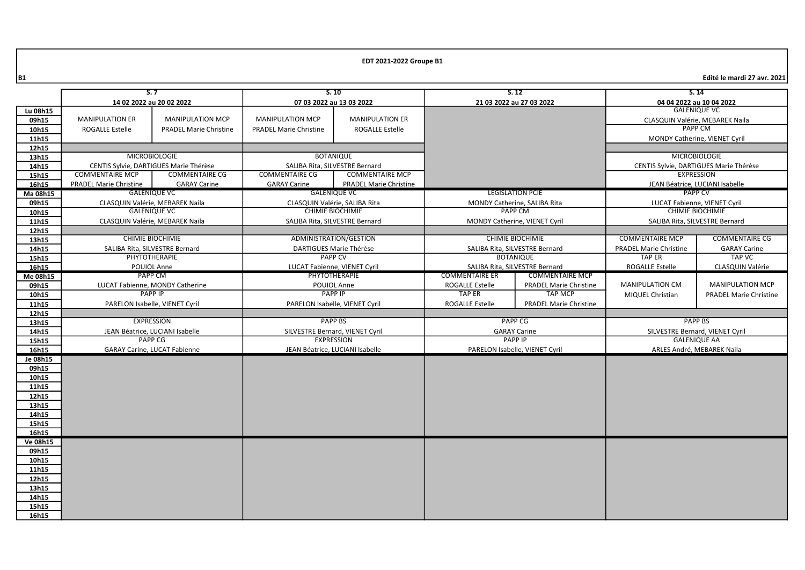|                | S.7                           |                                        | S.10                            |                                | S.12                           |                                | S.14                            |                                        |
|----------------|-------------------------------|----------------------------------------|---------------------------------|--------------------------------|--------------------------------|--------------------------------|---------------------------------|----------------------------------------|
|                | 14 02 2022 au 20 02 2022      |                                        | 07 03 2022 au 13 03 2022        |                                |                                | 21 03 2022 au 27 03 2022       |                                 | 04 04 2022 au 10 04 2022               |
| Lu 08h15       |                               |                                        |                                 |                                |                                |                                |                                 | <b>GALENIQUE VC</b>                    |
| 09h15          | <b>MANIPULATION ER</b>        | <b>MANIPULATION MCP</b>                | <b>MANIPULATION MCP</b>         | <b>MANIPULATION ER</b>         |                                |                                |                                 | CLASQUIN Valérie, MEBAREK Naila        |
| 10h15          | <b>ROGALLE Estelle</b>        | <b>PRADEL Marie Christine</b>          | <b>PRADEL Marie Christine</b>   | <b>ROGALLE Estelle</b>         |                                |                                |                                 | <b>PAPP CM</b>                         |
| 11h15          |                               |                                        |                                 |                                |                                |                                |                                 | MONDY Catherine, VIENET Cyril          |
| 12h15          |                               |                                        |                                 |                                |                                |                                |                                 |                                        |
| 13h15          |                               | <b>MICROBIOLOGIE</b>                   | <b>BOTANIQUE</b>                |                                |                                |                                |                                 | <b>MICROBIOLOGIE</b>                   |
| 14h15          |                               | CENTIS Sylvie, DARTIGUES Marie Thérèse | SALIBA Rita, SILVESTRE Bernard  |                                |                                |                                |                                 | CENTIS Sylvie, DARTIGUES Marie Thérèse |
| 15h15          | <b>COMMENTAIRE MCP</b>        | <b>COMMENTAIRE CG</b>                  | <b>COMMENTAIRE CG</b>           | <b>COMMENTAIRE MCP</b>         |                                |                                |                                 | <b>EXPRESSION</b>                      |
| 16h15          | <b>PRADEL Marie Christine</b> | <b>GARAY Carine</b>                    | <b>GARAY Carine</b>             | <b>PRADEL Marie Christine</b>  |                                |                                | JEAN Béatrice, LUCIANI Isabelle |                                        |
| Ma 08h15       |                               | <b>GALENIQUE VC</b>                    |                                 | <b>GALENIQUE VC</b>            | <b>LEGISLATION PCIE</b>        |                                | PAPP CV                         |                                        |
| 09h15          |                               | CLASQUIN Valérie, MEBAREK Naila        | CLASQUIN Valérie, SALIBA Rita   |                                | MONDY Catherine, SALIBA Rita   |                                | LUCAT Fabienne, VIENET Cyril    |                                        |
| 10h15          |                               | <b>GALENIQUE VC</b>                    | <b>CHIMIE BIOCHIMIE</b>         |                                |                                | <b>PAPP CM</b>                 |                                 | <b>CHIMIE BIOCHIMIE</b>                |
| 11h15          |                               | CLASQUIN Valérie, MEBAREK Naila        | SALIBA Rita, SILVESTRE Bernard  |                                | MONDY Catherine, VIENET Cyril  |                                |                                 | SALIBA Rita, SILVESTRE Bernard         |
| 12h15          |                               |                                        |                                 |                                |                                |                                |                                 |                                        |
| 13h15          |                               | <b>CHIMIE BIOCHIMIE</b>                |                                 | ADMINISTRATION/GESTION         |                                | <b>CHIMIE BIOCHIMIE</b>        | <b>COMMENTAIRE MCP</b>          | <b>COMMENTAIRE CG</b>                  |
| 14h15          |                               | SALIBA Rita, SILVESTRE Bernard         |                                 | DARTIGUES Marie Thérèse        | SALIBA Rita, SILVESTRE Bernard |                                | <b>PRADEL Marie Christine</b>   | <b>GARAY Carine</b>                    |
| 15h15          |                               | PHYTOTHERAPIE                          |                                 | <b>PAPP CV</b>                 | <b>BOTANIQUE</b>               |                                | <b>TAP ER</b>                   | <b>TAP VC</b>                          |
| 16h15          |                               | POUIOL Anne                            |                                 | LUCAT Fabienne, VIENET Cyril   |                                | SALIBA Rita, SILVESTRE Bernard | <b>ROGALLE Estelle</b>          | CLASQUIN Valérie                       |
| Me 08h15       |                               | PAPP CM                                |                                 | PHYTOTHERAPIE                  | <b>COMMENTAIRE ER</b>          | <b>COMMENTAIRE MCP</b>         |                                 |                                        |
| 09h15          |                               | LUCAT Fabienne, MONDY Catherine        |                                 | POUIOL Anne                    | ROGALLE Estelle                | <b>PRADEL Marie Christine</b>  | <b>MANIPULATION CM</b>          | <b>MANIPULATION MCP</b>                |
| 10h15          |                               | <b>PAPP IP</b>                         |                                 | <b>PAPP IP</b>                 | <b>TAP ER</b>                  | <b>TAP MCP</b>                 | MIQUEL Christian                | <b>PRADEL Marie Christine</b>          |
| 11h15          |                               | PARELON Isabelle, VIENET Cyril         |                                 | PARELON Isabelle, VIENET Cyril | <b>ROGALLE Estelle</b>         | <b>PRADEL Marie Christine</b>  |                                 |                                        |
| 12h15          |                               |                                        |                                 |                                |                                |                                |                                 |                                        |
| 13h15          |                               | <b>EXPRESSION</b>                      |                                 | <b>PAPP BS</b>                 |                                | <b>PAPP CG</b>                 |                                 | <b>PAPP BS</b>                         |
| 14h15          |                               | JEAN Béatrice, LUCIANI Isabelle        | SILVESTRE Bernard, VIENET Cyril |                                |                                | <b>GARAY Carine</b>            |                                 | SILVESTRE Bernard, VIENET Cyril        |
| 15h15          |                               | <b>PAPP CG</b>                         | <b>EXPRESSION</b>               |                                | <b>PAPP IP</b>                 |                                |                                 | <b>GALENIQUE AA</b>                    |
| 16h15          |                               | <b>GARAY Carine, LUCAT Fabienne</b>    | JEAN Béatrice, LUCIANI Isabelle |                                | PARELON Isabelle, VIENET Cyril |                                | ARLES André, MEBAREK Naila      |                                        |
| Je 08h15       |                               |                                        |                                 |                                |                                |                                |                                 |                                        |
| 09h15          |                               |                                        |                                 |                                |                                |                                |                                 |                                        |
| 10h15          |                               |                                        |                                 |                                |                                |                                |                                 |                                        |
| 11h15          |                               |                                        |                                 |                                |                                |                                |                                 |                                        |
| 12h15          |                               |                                        |                                 |                                |                                |                                |                                 |                                        |
| 13h15          |                               |                                        |                                 |                                |                                |                                |                                 |                                        |
| 14h15          |                               |                                        |                                 |                                |                                |                                |                                 |                                        |
| 15h15          |                               |                                        |                                 |                                |                                |                                |                                 |                                        |
| 16h15          |                               |                                        |                                 |                                |                                |                                |                                 |                                        |
| Ve 08h15       |                               |                                        |                                 |                                |                                |                                |                                 |                                        |
| 09h15          |                               |                                        |                                 |                                |                                |                                |                                 |                                        |
| 10h15          |                               |                                        |                                 |                                |                                |                                |                                 |                                        |
| 11h15          |                               |                                        |                                 |                                |                                |                                |                                 |                                        |
| 12h15          |                               |                                        |                                 |                                |                                |                                |                                 |                                        |
| 13h15          |                               |                                        |                                 |                                |                                |                                |                                 |                                        |
| 14h15<br>15h15 |                               |                                        |                                 |                                |                                |                                |                                 |                                        |
| 16h15          |                               |                                        |                                 |                                |                                |                                |                                 |                                        |
|                |                               |                                        |                                 |                                |                                |                                |                                 |                                        |